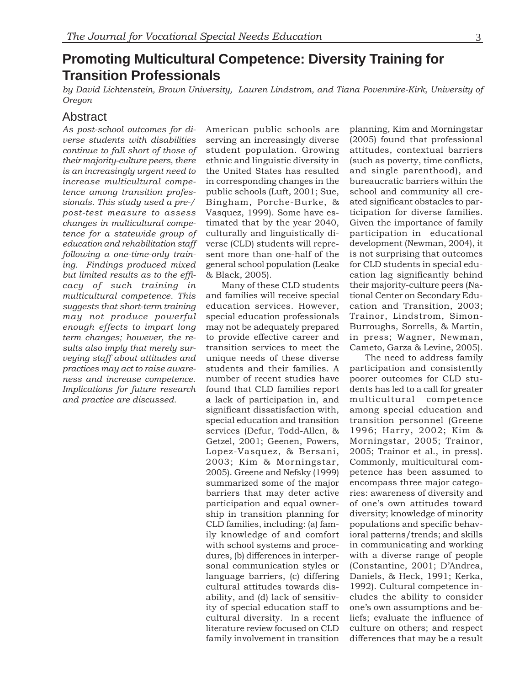# **Promoting Multicultural Competence: Diversity Training for Transition Professionals**

*by David Lichtenstein, Brown University, Lauren Lindstrom, and Tiana Povenmire-Kirk, University of Oregon*

## Abstract

*As post-school outcomes for di-* American public schools are planning, Kim and Morningstar *verse students with disabilities* serving an increasingly diverse (2005) found that professional *continue to fall short of those of* student population. Growing attitudes, contextual barriers *their majority-culture peers, there* ethnic and linguistic diversity in (such as poverty, time conflicts, *is an increasingly urgent need to* the United States has resulted and single parenthood), and *increase multicultural compe-* in corresponding changes in the bureaucratic barriers within the *tence among transition profes-* public schools (Luft, 2001; Sue, school and community all cre*sionals. This study used a pre-/* Bingham, Porche-Burke, & ated significant obstacles to par*post-test measure to assess* Vasquez, 1999). Some have es- ticipation for diverse families. *changes in multicultural compe-* timated that by the year 2040, Given the importance of family *tence for a statewide group of* culturally and linguistically di- participation in educational *education and rehabilitation staff* verse (CLD) students will repre- development (Newman, 2004), it *following a one-time-only train-* sent more than one-half of the is not surprising that outcomes *ing.* Findings produced mixed general school population (Leake for CLD students in special edu*but limited results as to the effi-* & Black, 2005). cation lag significantly behind

*cacy of such training in* Many of these CLD students their majority-culture peers (Na*multicultural competence. This* and families will receive special tional Center on Secondary Edu*suggests that short-term training* education services. However, cation and Transition, 2003; *may not produce powerful* special education professionals Trainor, Lindstrom, Simon*enough effects to impart long* may not be adequately prepared Burroughs, Sorrells, & Martin, *term changes; however, the re-* to provide effective career and in press; Wagner, Newman, *sults also imply that merely sur-* transition services to meet the Cameto, Garza & Levine, 2005). *veying staff about attitudes and* unique needs of these diverse The need to address family *practices may act to raise aware-* students and their families. A participation and consistently *ness and increase competence.* number of recent studies have poorer outcomes for CLD stu-*Implications for future research* found that CLD families report dents has led to a call for greater *and practice are discussed.* a lack of participation in, and multicultural competence significant dissatisfaction with, among special education and special education and transition transition personnel (Greene services (Defur, Todd-Allen, & 1996; Harry, 2002; Kim & Getzel, 2001; Geenen, Powers, Morningstar, 2005; Trainor, Lopez-Vasquez, & Bersani, 2005; Trainor et al., in press). 2003; Kim & Morningstar, Commonly, multicultural com-2005). Greene and Nefsky (1999) petence has been assumed to summarized some of the major encompass three major categobarriers that may deter active ries: awareness of diversity and participation and equal owner- of one's own attitudes toward ship in transition planning for diversity; knowledge of minority CLD families, including: (a) fam- populations and specific behavily knowledge of and comfort ioral patterns/trends; and skills with school systems and proce- in communicating and working dures, (b) differences in interper- with a diverse range of people sonal communication styles or (Constantine, 2001; D'Andrea, language barriers, (c) differing Daniels, & Heck, 1991; Kerka, cultural attitudes towards dis- 1992). Cultural competence inability, and (d) lack of sensitiv- cludes the ability to consider ity of special education staff to one's own assumptions and becultural diversity. In a recent liefs; evaluate the influence of literature review focused on CLD culture on others; and respect

family involvement in transition differences that may be a result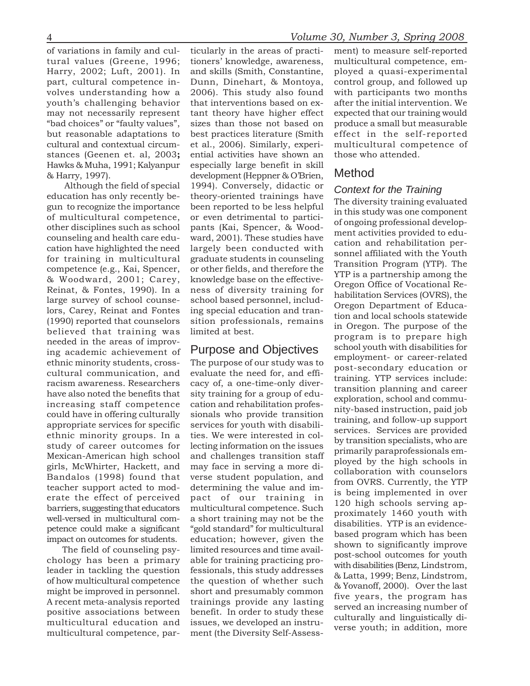of variations in family and cul- ticularly in the areas of practi- ment) to measure self-reported Hawks & Muha, 1991; Kalyanpur especially large benefit in skill

Although the field of special 1994). Conversely, didactic or **Context for the Training**<br>
education has only recently be-theory-oriented trainings have the mentric training gun to recognize the importance been reported to b needed in the areas of improv-<br>ing academic achievement of Purpose and Objectives school youth with disabilities for<br>their minority stylents areas. The numeros of sur study was to employment- or career-related

stances (Geenen et. al, 2003**;** ential activities have shown an those who attended. & Harry, 1997). development (Heppner & O'Brien, Method

and continue control and evaluate the need for, and effinite minority students, ross-<br>The purpose of our study was to employement or career-related or<br>cultural communication, and evaluate the need for, and effi-training.

tural values (Greene, 1996; tioners' knowledge, awareness, multicultural competence, em-Harry, 2002; Luft, 2001). In and skills (Smith, Constantine, ployed a quasi-experimental part, cultural competence in- Dunn, Dinehart, & Montoya, control group, and followed up volves understanding how a 2006). This study also found with participants two months youth's challenging behavior that interventions based on ex- after the initial intervention. We may not necessarily represent tant theory have higher effect expected that our training would "bad choices" or "faulty values", sizes than those not based on produce a small but measurable but reasonable adaptations to best practices literature (Smith effect in the self-reported cultural and contextual circum- et al., 2006). Similarly, experi- multicultural competence of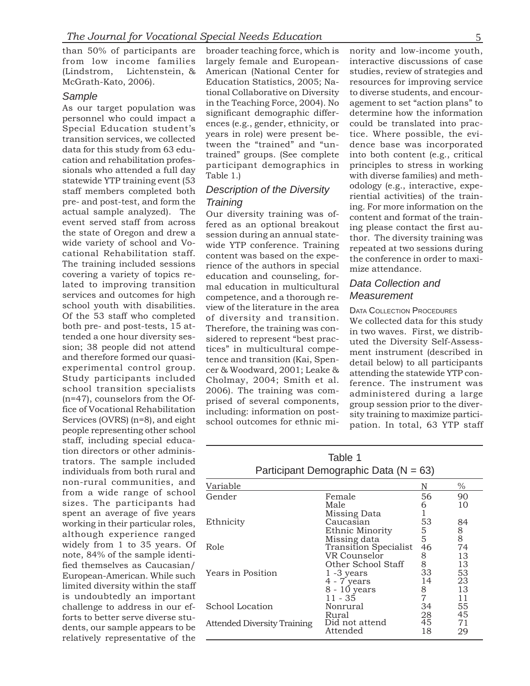than 50% of participants are from low income families (Lindstrom, Lichtenstein, & McGrath-Kato, 2006).

### *Sample*

As our target population was personnel who could impact a Special Education student's transition services, we collected data for this study from 63 education and rehabilitation professionals who attended a full day statewide YTP training event (53 staff members completed both pre- and post-test, and form the actual sample analyzed). The event served staff from across the state of Oregon and drew a wide variety of school and Vocational Rehabilitation staff. The training included sessions covering a variety of topics related to improving transition services and outcomes for high school youth with disabilities. Of the 53 staff who completed both pre- and post-tests, 15 attended a one hour diversity session; 38 people did not attend and therefore formed our quasiexperimental control group. Study participants included school transition specialists (n=47), counselors from the Office of Vocational Rehabilitation Services (OVRS) (n=8), and eight people representing other school staff, including special education directors or other administrators. The sample included individuals from both rural and non-rural communities, and from a wide range of school sizes. The participants had spent an average of five years working in their particular roles, although experience ranged widely from 1 to 35 years. Of note, 84% of the sample identified themselves as Caucasian/ European-American. While such limited diversity within the staff is undoubtedly an important challenge to address in our efforts to better serve diverse students, our sample appears to be relatively representative of the

largely female and European- interactive discussions of case American (National Center for studies, review of strategies and Education Statistics, 2005; Na- resources for improving service tional Collaborative on Diversity to diverse students, and encourin the Teaching Force, 2004). No agement to set "action plans" to significant demographic differ- determine how the information ences (e.g., gender, ethnicity, or could be translated into pracyears in role) were present be- tice. Where possible, the evitween the "trained" and "un- dence base was incorporated trained" groups. (See complete into both content (e.g., critical participant demographics in principles to stress in working Table 1.) with diverse families) and meth-

referred as an optional breakout ing please contact the first aussession during an annual state-<br>wide YTP conference. Training repeated at two sessions during<br>content was based on the expe-<br>the conference in order to maxirience of the authors in special mize attendance. education and counseling, formal education in multicultural *Data Collection and* competence, and a thorough re- *Measurement* view of the literature in the area DATA COLLECTION PROCEDURES<br>of diversity and transition. We collected data for this of diversity and transition. We collected data for this study<br>Therefore, the training was con-<br>sidered to represent "best prac-<br>tices" in multicultural compe-<br>tend the Diversity Self-Assess-<br>tices" in multicultural compe-<br>

broader teaching force, which is nority and low-income youth, *Description of the Diversity* odology (e.g., interactive, experiential activities) of the train-**Training** ing. For more information on the Our diversity training was of-<br>fered as an optional breakout ing please contect the first au-

2006). The training was com-<br>
prised of several components,<br>
including: information on post-<br>
school outcomes for ethnic mi-<br>
pation. In total, 63 YTP staff

## Table 1 Participant Demographic Data  $(N = 63)$

| Variable                    |                       | N  | $\%$                             |
|-----------------------------|-----------------------|----|----------------------------------|
| Gender                      | Female                | 56 | 90                               |
|                             | Male                  | 6  | 10                               |
|                             | Missing Data          |    |                                  |
| Ethnicity                   | Caucasian             | 53 | 84                               |
|                             | Ethnic Minority       | 5  | $\begin{matrix}8\\8\end{matrix}$ |
|                             | Missing data          | 5  |                                  |
| Role                        | Transition Specialist | 46 | 74                               |
|                             | VR Counselor          | 8  | 13                               |
|                             | Other School Staff    | 8  | 13                               |
| Years in Position           | $1 - 3$ years         | 33 | 53                               |
|                             | $4 - 7$ years         | 14 | 23                               |
|                             | 8 - 10 years          | 8  | 13                               |
|                             | $11 - 35$             | 7  | 11                               |
| School Location             | Nonrural              | 34 | 55                               |
|                             | Rural                 | 28 | 45                               |
| Attended Diversity Training | Did not attend        | 45 | 71                               |
|                             | Attended              | 18 | 29                               |
|                             |                       |    |                                  |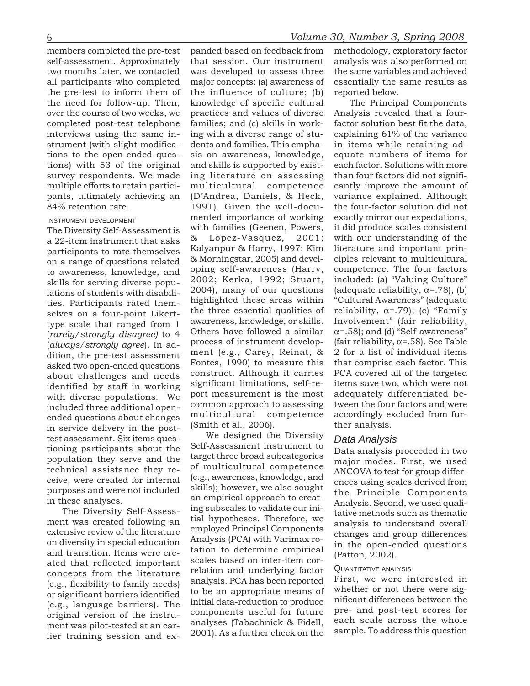included three additional open-<br>
ended questions about changes<br>
ended questions about changes<br>
in service delivery in the post-<br>
test assessment. Six items ques-<br>
test assessment. Six items ques-<br>
Self-Assessment instrumen

(e.g., flexibility to family needs) analysis. PCA has been reported First, we were interested in<br>or significant barriers identified to be an appropriate means of whether or not there were sig-<br>(e.g., language barriers). Th

self-assessment. Approximately that session. Our instrument analysis was also performed on two months later, we contacted was developed to assess three the same variables and achieved all participants who completed major concepts: (a) awareness of essentially the same results as the pre-test to inform them of the influence of culture; (b) reported below. the need for follow-up. Then, knowledge of specific cultural The Principal Components over the course of two weeks, we practices and values of diverse Analysis revealed that a fourcompleted post-test telephone families; and (c) skills in work- factor solution best fit the data, interviews using the same in- ing with a diverse range of stu- explaining 61% of the variance strument (with slight modifica- dents and families. This empha- in items while retaining adtions to the open-ended ques- sis on awareness, knowledge, equate numbers of items for tions) with 53 of the original and skills is supported by exist- each factor. Solutions with more survey respondents. We made ing literature on assessing than four factors did not signifipants, ultimately achieving an (D'Andrea, Daniels, & Heck, variance explained. Although 84% retention rate. 1991). Given the well-docu- the four-factor solution did not The Diversity Self-Assessment is with families (Geenen, Powers, it did produce scales consistent a 22-item instrument that asks  $\alpha$  Lopez-Vasquez, 2001; with our understanding of the norticipants to rate themselves Kalya participants to rate themselves Kalyanpur & Harry, 1997; Kim literature and important prin-<br>on a range of questions related & Morningstar, 2005) and devel-<br>to awareness, knowledge, and oping self-awareness (Harry, compete ties. Participants rated them-<br>selves on a four-point Likert-<br>the three essential qualities of reliability,  $\alpha$ =.79); (c) "Family<br>type scale that ranged from 1 awareness, knowledge, or skills. Involvement" (fair reliabil (always/strongly agree). In ad-<br>dition, the pre-test assessment ment (e.g., Carey, Reinat, & 2 for a list of individual items<br>asked two open-ended questions Fontes, 1990) to measure this that comprise each factor. This<br>ab identified by staff in working significant limitations, self-re-<br>with diverse populations. We port measurement is the most adequately differentiated be-<br>included three additional onen-<br>common approach to assessing tween th

ment was created following an tial hypotheses. Therefore, we<br>extensive review of the literature employed Principal Components<br>on diversity in special education Analysis (PCA) with Varimax ro-<br>and transition. Items were cre

members completed the pre-test panded based on feedback from methodology, exploratory factor

multiple efforts to retain partici- multicultural competence cantly improve the amount of INSTRUMENT DEVELOPMENT<br>The Diversity Self-Assessment is with families (Geenen, Powers, it did produce scales consistent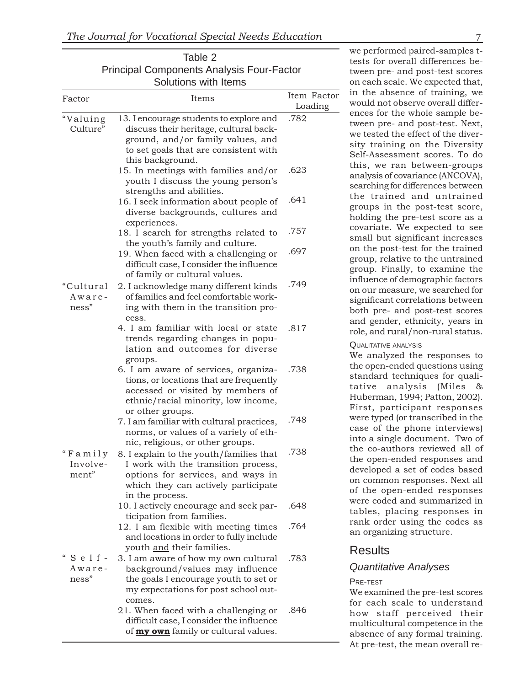|                                                        | Table 2<br><b>Principal Components Analysis Four-Factor</b>                                                                                                                         |                        |
|--------------------------------------------------------|-------------------------------------------------------------------------------------------------------------------------------------------------------------------------------------|------------------------|
| Factor                                                 | Solutions with Items<br>Items                                                                                                                                                       | Item Factor<br>Loading |
| "Valuing<br>Culture"                                   | 13. I encourage students to explore and<br>discuss their heritage, cultural back-<br>ground, and/or family values, and<br>to set goals that are consistent with<br>this background. | .782                   |
|                                                        | 15. In meetings with families and/or<br>youth I discuss the young person's<br>strengths and abilities.                                                                              | .623                   |
|                                                        | 16. I seek information about people of<br>diverse backgrounds, cultures and<br>experiences.                                                                                         | .641                   |
|                                                        | 18. I search for strengths related to<br>the youth's family and culture.                                                                                                            | .757                   |
|                                                        | 19. When faced with a challenging or<br>difficult case, I consider the influence<br>of family or cultural values.                                                                   | .697                   |
| "Cultural<br>Aware-<br>ness"                           | 2. I acknowledge many different kinds<br>of families and feel comfortable work-<br>ing with them in the transition pro-<br>cess.                                                    | .749                   |
|                                                        | 4. I am familiar with local or state<br>trends regarding changes in popu-<br>lation and outcomes for diverse<br>groups.                                                             | .817                   |
|                                                        | 6. I am aware of services, organiza-<br>tions, or locations that are frequently<br>accessed or visited by members of<br>ethnic/racial minority, low income,<br>or other groups.     | .738                   |
|                                                        | 7. I am familiar with cultural practices,<br>norms, or values of a variety of eth-<br>nic, religious, or other groups.                                                              | .748                   |
| "Family<br>Involve-<br>ment"                           | 8. I explain to the youth/families that<br>I work with the transition process,<br>options for services, and ways in<br>which they can actively participate<br>in the process.       | .738                   |
|                                                        | 10. I actively encourage and seek par-<br>ticipation from families.                                                                                                                 | .648                   |
|                                                        | 12. I am flexible with meeting times<br>and locations in order to fully include<br>youth and their families.                                                                        | .764                   |
| $\epsilon\epsilon$<br>$S$ e $1$ f -<br>Aware-<br>ness" | 3. I am aware of how my own cultural<br>background/values may influence<br>the goals I encourage youth to set or<br>my expectations for post school out-<br>comes.                  | .783                   |
|                                                        | 21. When faced with a challenging or<br>difficult case, I consider the influence<br>of <b>my own</b> family or cultural values.                                                     | .846                   |

we performed paired-samples tt ests for overall differences bet ween pre- and post-test scores i n the absence of training, we t ween pre- and post-test. Next, t his, we ran between-groups i nfluence of demographic factors r ole, and rural/non-rural status. on each scale. We expected that, would not observe overall differences for the whole sample bewe tested the effect of the diversity training on the Diversity Self-Assessment scores. To do analysis of covariance (ANCOVA), searching for differences between the trained and untrained groups in the post-test score, holding the pre-test score as a covariate. We expected to see small but significant increases on the post-test for the trained group, relative to the untrained group. Finally, to examine the on our measure, we searched for significant correlations between both pre- and post-test scores and gender, ethnicity, years in QUALITATIVE ANALYSIS

t he open-ended questions using i nto a single document. Two of t he co-authors reviewed all of t he open-ended responses and t ables, placing responses in r ank order using the codes as We analyzed the responses to standard techniques for qualitative analysis (Miles & Huberman, 1994; Patton, 2002). First, participant responses were typed (or transcribed in the case of the phone interviews) developed a set of codes based on common responses. Next all of the open-ended responses were coded and summarized in an organizing structure.

## **Results**

### *Quantitative Analyses*

### PRE-TEST

f or each scale to understand We examined the pre-test scores how staff perceived their multicultural competence in the absence of any formal training. At pre-test, the mean overall re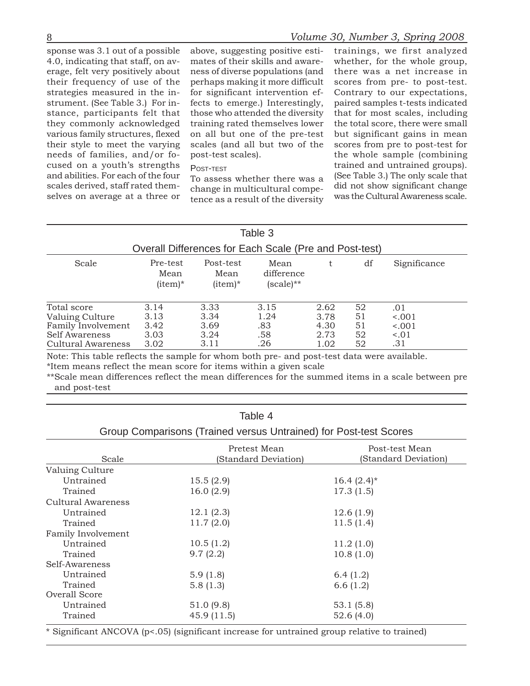4.0, indicating that staff, on av- mates of their skills and aware- whether, for the whole group, erage, felt very positively about ness of diverse populations (and there was a net increase in their frequency of use of the perhaps making it more difficult scores from pre- to post-test. strategies measured in the in- for significant intervention ef- Contrary to our expectations, strument. (See Table 3.) For in- fects to emerge.) Interestingly, paired samples t-tests indicated their style to meet the varying scales (and all but two of the scores from pre to post-test for cused on a youth's strengths <br>and abilities. For each of the four  $T_{Q}$  assess whether there was a (See Table 3.) The only scale that and abilities. For each of the four  $\begin{array}{c}$  To assess whether there was a  $\begin{array}{c}$  (See Table 3.) The only scale that scales derived, staff rated them-

sponse was 3.1 out of a possible above, suggesting positive esti- trainings, we first analyzed

scales derived, staff rated them-<br>selves on average at a three or tence as a result of the diversity was the Cultural Awareness scale.

stance, participants felt that those who attended the diversity that for most scales, including they commonly acknowledged training rated themselves lower the total score, there were small various family structures, flexed on all but one of the pre-test but significant gains in mean needs of families, and/or fo- post-test scales). the whole sample (combining

|                                                                                              |                                      |                                      | Table 3                           |                                      |                            |                                        |
|----------------------------------------------------------------------------------------------|--------------------------------------|--------------------------------------|-----------------------------------|--------------------------------------|----------------------------|----------------------------------------|
| Overall Differences for Each Scale (Pre and Post-test)                                       |                                      |                                      |                                   |                                      |                            |                                        |
| Scale                                                                                        | Pre-test<br>Mean<br>$item)^*$        | Post-test<br>Mean<br>$item)^*$       | Mean<br>difference<br>(scale)**   | t.                                   | df                         | Significance                           |
| Total score<br>Valuing Culture<br>Family Involvement<br>Self Awareness<br>Cultural Awareness | 3.14<br>3.13<br>3.42<br>3.03<br>3.02 | 3.33<br>3.34<br>3.69<br>3.24<br>3.11 | 3.15<br>1.24<br>.83<br>.58<br>.26 | 2.62<br>3.78<br>4.30<br>2.73<br>1.02 | 52<br>51<br>51<br>52<br>52 | .01<br>15001<br>15001<br>$-.01$<br>.31 |

Note: This table reflects the sample for whom both pre- and post-test data were available. \*Item means reflect the mean score for items within a given scale

\*\*Scale mean differences reflect the mean differences for the summed items in a scale between pre and post-test

|                                                                   | Table 4                             |                                        |  |  |  |  |
|-------------------------------------------------------------------|-------------------------------------|----------------------------------------|--|--|--|--|
| Group Comparisons (Trained versus Untrained) for Post-test Scores |                                     |                                        |  |  |  |  |
| Scale                                                             | Pretest Mean<br>Standard Deviation) | Post-test Mean<br>(Standard Deviation) |  |  |  |  |
| Valuing Culture                                                   |                                     |                                        |  |  |  |  |
| Untrained                                                         | 15.5(2.9)                           | 16.4 $(2.4)^*$                         |  |  |  |  |
| Trained                                                           | 16.0(2.9)                           | 17.3(1.5)                              |  |  |  |  |
| <b>Cultural Awareness</b>                                         |                                     |                                        |  |  |  |  |
| Untrained                                                         | 12.1(2.3)                           | 12.6(1.9)                              |  |  |  |  |
| Trained                                                           | 11.7(2.0)                           | 11.5(1.4)                              |  |  |  |  |
| Family Involvement                                                |                                     |                                        |  |  |  |  |
| Untrained                                                         | 10.5(1.2)                           | 11.2(1.0)                              |  |  |  |  |
| Trained                                                           | 9.7(2.2)                            | 10.8(1.0)                              |  |  |  |  |
| Self-Awareness                                                    |                                     |                                        |  |  |  |  |
| Untrained                                                         | 5.9(1.8)                            | 6.4(1.2)                               |  |  |  |  |
| Trained                                                           | 5.8(1.3)                            | 6.6(1.2)                               |  |  |  |  |
| Overall Score                                                     |                                     |                                        |  |  |  |  |
| Untrained                                                         | 51.0 (9.8)                          | 53.1(5.8)                              |  |  |  |  |
| Trained                                                           | 45.9(11.5)                          | 52.6(4.0)                              |  |  |  |  |

\* Significant ANCOVA (p<.05) (significant increase for untrained group relative to trained)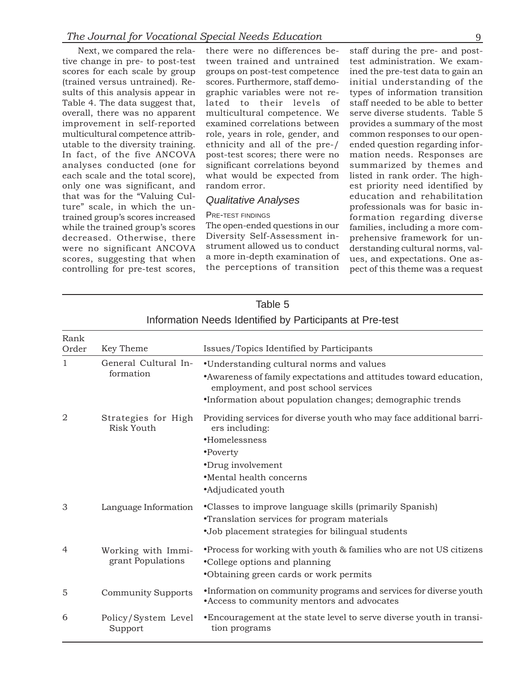tive change in pre- to post-test tween trained and untrained test administration. We examscores for each scale by group groups on post-test competence ined the pre-test data to gain an (trained versus untrained). Re- scores. Furthermore, staff demo- initial understanding of the sults of this analysis appear in graphic variables were not re- types of information transition Table 4. The data suggest that, lated to their levels of staff needed to be able to better overall, there was no apparent multicultural competence. We serve diverse students. Table 5 improvement in self-reported examined correlations between provides a summary of the most multicultural competence attrib- role, years in role, gender, and common responses to our openutable to the diversity training. ethnicity and all of the pre-/ ended question regarding infor-In fact, of the five ANCOVA post-test scores; there were no mation needs. Responses are analyses conducted (one for significant correlations beyond summarized by themes and each scale and the total score), what would be expected from listed in rank order. The highonly one was significant, and random error. est priority need identified by that was for the "Valuing Cul-<br>ture" scale, in which the un-<br>professionals was for basic intrained group's scores increased PRE-TEST FINDINGS formation regarding diverse<br>while the trained group's scores The open-ended questions in our families including a more comwhile the trained group's scores The open-ended questions in our families, including a more comdecreased. Otherwise, there Diversity Self-Assessment in-<br>were no significant ANCOVA strument allowed us to conduct derstanding cultural norms valwere no significant ANCOVA strument allowed us to conduct derstanding cultural norms, valscores, suggesting that when a more in-depth examination of ues, and expectations. One ascontrolling for pre-test scores, the perceptions of transition pect of this theme was a request

Next, we compared the rela- there were no differences be- staff during the pre- and postquality is a set of the unique variable value of the unique value of the unique value of the unique value of the unique value of the unique value of the unique value of the unique value of the unique value of the unique va

|                | <u>INTOILITIANUM NEEGS TUENNITEG DY FANICIPANIS ALT TE-LESL</u> |                                                                                                                                                                                                                            |  |  |  |  |
|----------------|-----------------------------------------------------------------|----------------------------------------------------------------------------------------------------------------------------------------------------------------------------------------------------------------------------|--|--|--|--|
| Rank<br>Order  | Key Theme                                                       | Issues/Topics Identified by Participants                                                                                                                                                                                   |  |  |  |  |
| 1              | General Cultural In-<br>formation                               | •Understanding cultural norms and values<br>• Awareness of family expectations and attitudes toward education,<br>employment, and post school services<br><i>•Information about population changes; demographic trends</i> |  |  |  |  |
| $\overline{2}$ | Strategies for High<br><b>Risk Youth</b>                        | Providing services for diverse youth who may face additional barri-<br>ers including:<br>•Homelessness<br>•Poverty<br>•Drug involvement<br>•Mental health concerns<br>•Adjudicated youth                                   |  |  |  |  |
| 3              | Language Information                                            | •Classes to improve language skills (primarily Spanish)<br><i>•Translation services for program materials</i><br>•Job placement strategies for bilingual students                                                          |  |  |  |  |
| $\overline{4}$ | Working with Immi-<br>grant Populations                         | • Process for working with youth & families who are not US citizens<br>•College options and planning<br>•Obtaining green cards or work permits                                                                             |  |  |  |  |
| 5              | <b>Community Supports</b>                                       | •Information on community programs and services for diverse youth<br>•Access to community mentors and advocates                                                                                                            |  |  |  |  |
| 6              | Policy/System Level<br>Support                                  | •Encouragement at the state level to serve diverse youth in transi-<br>tion programs                                                                                                                                       |  |  |  |  |

### Table 5 Information Needs Identified by Participants at Pre-test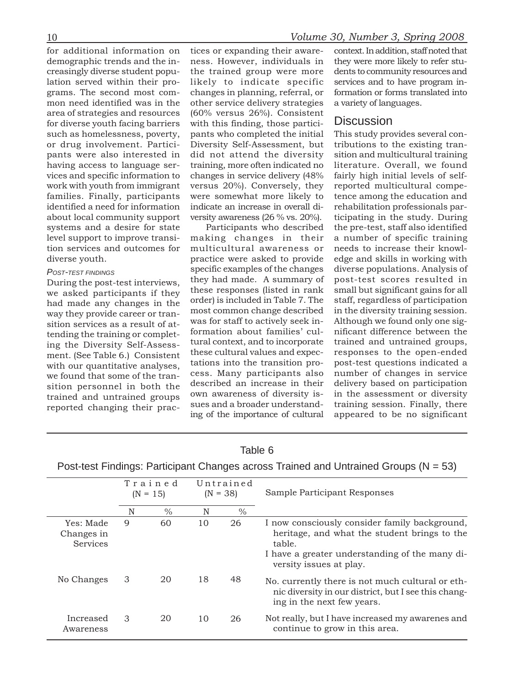for additional information on tices or expanding their aware- context. In addition, staff noted that

with our quantitative analyses, tations into the transition pro-<br>we found that some of the tran-cess. Many participants also

demographic trends and the in- ness. However, individuals in they were more likely to refer stucreasingly diverse student popu- the trained group were more dents to community resources and lation served within their pro- likely to indicate specific services and to have program ingrams. The second most com- changes in planning, referral, or formation or forms translated into mon need identified was in the other service delivery strategies a variety of languages. area of strategies and resources (60% versus 26%). Consistent for diverse youth facing barriers with this finding, those partici- Discussion such as homelessness, poverty, pants who completed the initial This study provides several conor drug involvement. Partici- Diversity Self-Assessment, but tributions to the existing tranpants were also interested in did not attend the diversity sition and multicultural training having access to language ser- training, more often indicated no literature. Overall, we found vices and specific information to changes in service delivery (48% fairly high initial levels of selfwork with youth from immigrant versus 20%). Conversely, they reported multicultural compefamilies. Finally, participants were somewhat more likely to tence among the education and identified a need for information indicate an increase in overall di- rehabilitation professionals parabout local community support versity awareness (26 % vs. 20%). ticipating in the study. During

systems and a desire for state Participants who described the pre-test, staff also identified level support to improve transi- making changes in their a number of specific training tion services and outcomes for multicultural awareness or needs to increase their knowldiverse youth. practice were asked to provide edge and skills in working with *POST-TEST FINDINGS* specific examples of the changes diverse populations. Analysis of *-TEST FINDINGS* specific examples of the changes diverse populations. Analysis of *-TEST FINDINGS* and *-TEST FINDINGS* and *-TEST FIN* During the post-test interviews, they had made. A summary of post-test scores resulted in we asked participants if they these responses (listed in rank small but significant gains for all we asked participants if they these responses (insted in rank small but significant gains for all<br>had made any changes in the order) is included in Table 7. The staff, regardless of participation had made any changes in the order) is included in Table 7. The staff, regardless of participation most common change described in the diversity training session. way they provide career or tran-<br>sition services as a result of at-<br>was for staff to actively seek in-<br>Although we found only one sigwas for staff to actively seek in-<br>strain services as a result of at-<br>tonding the training or complet formation about families' cul-<br>inficant difference between the formation about families' cul-<br>inficant difference between the<br>ing the Diversity Self-Assess-<br>tural context, and to incorporate trained and untrained groups,<br>ment (See Table 6.) Consistent these cultural values and expec-<br> ment. (See Table 6.) Consistent these cultural values and expec- responses to the open-ended<br>with our quantitative analyses tations into the transition pro- post-test questions indicated a we found that some of the tran-<br>sition personnel in both the described an increase in their delivery based on participation sition personnel in both the described an increase in their delivery based on participation<br>trained and untrained groups own awareness of diversity is- in the assessment or diversity<br>reported changing their prac- sues and

|                                            | Trained<br>$(N = 15)$ |               | Untrained<br>$(N = 38)$ |      | Sample Participant Responses                                                                                                                                                         |
|--------------------------------------------|-----------------------|---------------|-------------------------|------|--------------------------------------------------------------------------------------------------------------------------------------------------------------------------------------|
|                                            | N                     | $\frac{0}{0}$ | N                       | $\%$ |                                                                                                                                                                                      |
| Yes: Made<br>Changes in<br><b>Services</b> | 9                     | 60            | 10                      | 26   | I now consciously consider family background,<br>heritage, and what the student brings to the<br>table.<br>I have a greater understanding of the many di-<br>versity issues at play. |
| No Changes                                 | 3                     | 20            | 18                      | 48   | No. currently there is not much cultural or eth-<br>nic diversity in our district, but I see this chang-<br>ing in the next few years.                                               |
| Increased<br>Awareness                     | 3                     | 20            | 10                      | 26   | Not really, but I have increased my awarenes and<br>continue to grow in this area.                                                                                                   |

## Table 6 Post-test Findings: Participant Changes across Trained and Untrained Groups (N = 53)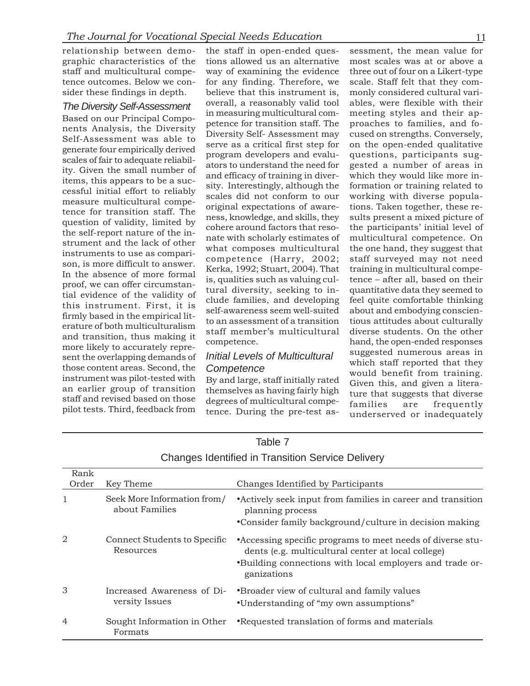relationship between demo- the staff in open-ended ques- sessment, the mean value for graphic characteristics of the tions allowed us an alternative most scales was at or above a staff and multicultural compe- way of examining the evidence three out of four on a Likert-type tence outcomes. Below we con- for any finding. Therefore, we scale. Staff felt that they com-

Frace Structure in measuring multicultural com-<br>measuring multicultural compo-<br>measuring multicultural compo-<br>metric to transition staff. The proaches to families, and fo-<br>nens Analysis, the Diversity Self-Assessment may c more likely to accurately repre-<br>sent the overlapping demands of *Initial Levels of Multicultural* suggested numerous areas in

sider these findings in depth. believe that this instrument is, monly considered cultural vari-*The Diversity Self-Assessment* overall, a reasonably valid tool ables, were flexible with their

which staff reported that they<br>those content areas. Second, the Competence<br>instrument was pilot-tested with<br>an earlier group of transition themselves as having fairly high<br>staff and revised based on those degrees of multic

|                |                                               | 0.10.1900 100.11.11.00 11.11.11.11.11.11.11.11.10.11.00 0.01.11.11                                                                                                                           |
|----------------|-----------------------------------------------|----------------------------------------------------------------------------------------------------------------------------------------------------------------------------------------------|
| Rank<br>Order  | Key Theme                                     | Changes Identified by Participants                                                                                                                                                           |
|                |                                               |                                                                                                                                                                                              |
| 1              | Seek More Information from/<br>about Families | • Actively seek input from families in career and transition<br>planning process                                                                                                             |
|                |                                               | • Consider family background/culture in decision making                                                                                                                                      |
| 2              | Connect Students to Specific<br>Resources     | • Accessing specific programs to meet needs of diverse stu-<br>dents (e.g. multicultural center at local college)<br>•Building connections with local employers and trade or-<br>ganizations |
| 3              | Increased Awareness of Di-<br>versity Issues  | •Broader view of cultural and family values<br>•Understanding of "my own assumptions"                                                                                                        |
| $\overline{4}$ | Sought Information in Other<br>Formats        | •Requested translation of forms and materials                                                                                                                                                |

| Table 7                                                  |  |
|----------------------------------------------------------|--|
| <b>Changes Identified in Transition Service Delivery</b> |  |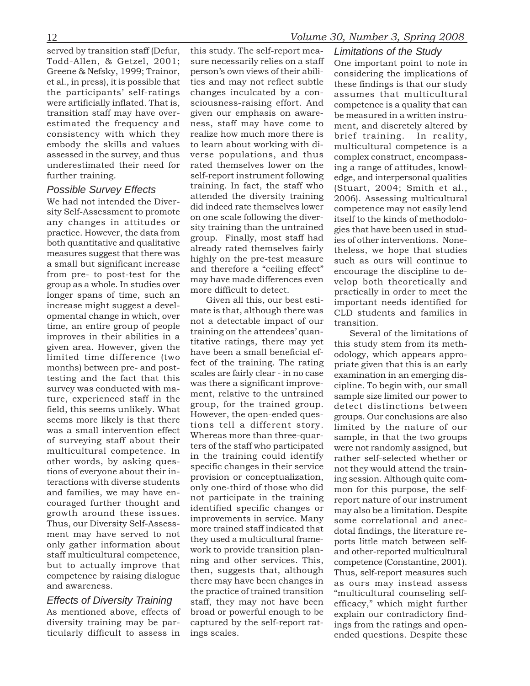served by transition staff (Defur, this study. The self-report mea- *Limitations of the Study*

measure and but significant increase highly on the pre-test measure such as ours will continue to<br>from pre- to post-test for the may have made differences even from pre- to post-test for the may have made differences even

Todd-Allen, & Getzel, 2001; sure necessarily relies on a staff One important point to note in Greene & Nefsky, 1999; Trainor, person's own views of their abili- considering the implications of Greene & Nefsky, 1999; Trainor, person's own views of their abili-<br>example implications of<br>et al., in press), it is possible that ties and may not reflect subtle<br>these findings is that our study et al., in press), it is possible that ties and may not reflect subtle these findings is that our study the participants' self-ratings changes inculcated by a con-<br>assumes that multicultural the participants' self-ratings changes inculcated by a con- assumes that multicultural<br>were artificially inflated. That is, sciousness-raising effort. And competence is a quality that can were artificially inflated. That is, sciousness-raising effort. And competence is a quality that can transition staff may have over- given our emphasis on aware- be measured in a written instrugiven our emphasis on aware- be measured in a written instru-<br>ness, staff may have come to ment and discretely altered by estimated the frequency and ness, staff may have come to ment, and discretely altered by consistency with which they realize how much more there is brief training. In reality consistency with which they realize how much more there is brief training. In reality, embody the skills and values to learn about working with di- multicultural competence is a embody the skills and values to learn about working with di- multicultural competence is a assessed in the survey, and thus verse populations, and thus complex construct encompassassessed in the survey, and thus verse populations, and thus complex construct, encompass-<br>underestimated their need for rated themselves lower on the ing a range of attitudes knowlunderestimated their need for rated themselves lower on the ing a range of attitudes, knowl-<br>further training. edge and interpersonal qualities self-report instrument following edge, and interpersonal qualities *Possible Survey Effects* training. In fact, the staff who (Stuart, 2004; Smith et al., We had not intended the Diver-<br>We had not intended the Diver-We had not intended the Diver-<br>sity Self-Assessment to promote did indeed rate themselves lower competence may not easily lend we had not intended the Diver<br>sity Self-Assessment to promote<br>any changes in attitudes or<br>practice. However, the data from<br>both quantitative and qualitative<br>discussion of the unit of the kinds of methodolo-<br>sity training t both quantitative and qualitative<br>measures suggest that there was already rated themselves fairly theless, we hope that studies<br>as a small but significant increase

limited time difference (two<br>months) between pre- and post-<br>test of the training. The rating priate given that this is an early<br>testing and the fact that this testing and the fact that this<br>survey was conducted with ma-<br>ture, experienced staff in the ment, relative to the untrained<br>field, this seems unlikely. What<br>seems more likely is that there<br>was a small intervention effect<br>w was a small intervention effect<br>of surveying staff about their<br>multicultural competence. In the staff who participated were not randomly assigned, but<br>multicultural competence. In or surveying stair about them<br>multicultural competence. In the training could identify rather self-selected whether or<br>other words, by asking quesother words, by asking ques-<br>tions of everyone about their in-<br>teractions with diverse students<br>and families, we may have en-<br>couraged further thought and<br>growth around these issues.<br>Thus, our Diversity Self-Assess-<br>and th Thus, our Diversity Self-Assess-<br>ment may have served to not more trained staff indicated that dotal findings, the literature re-<br>only gather information about they used a multicultural frame-<br>ports little match between se only gather information about<br>staff multicultural competence,<br>but to actually improve that<br>competence by raising dialogue<br>and awareness.<br>there may have been changes in<br>the practice of trained transition as ours may instead EITECTS OF DIVERSITY ITENTING staff, they may not have been efficacy," which might further As mentioned above, effects of broad or powerful enough to be explain our contradictory find-<br>diversity training may be par- captur

diversity training may be par- captured by the self-report rat- ings from the ratings and openticularly difficult to assess in ings scales. ended questions. Despite these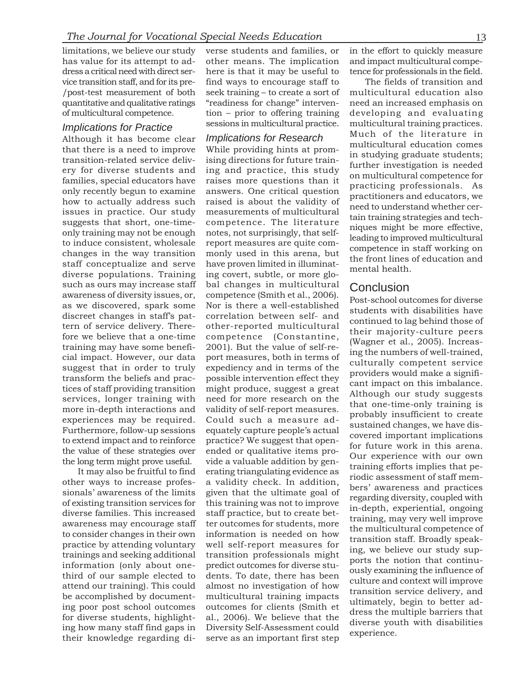has value for its attempt to ad-<br>dress a critical need with direct ser-<br>here is that it may be useful to tence for professionals in the field. dress a critical need with direct ser- here is that it may be useful to vice transition staff, and for its pre- find ways to encourage staff to The fields of transition and /post-test measurement of both seek training – to create a sort of multicultural education also quantitative and qualitative ratings "readiness for change" interven- need an increased emphasis on

multicultural education comes<br>transition-related service deliv-<br>transition-related service deliv-<br>sing directions for future train-<br>transition-related service deliv-<br>sing directions for future train-<br>transition-related ser such as ours may increase staff bal changes in multicultural **Conclusion** awareness of diversity issues, or, competence (Smith et al., 2006).

limitations, we believe our study verse students and families, or in the effort to quickly measure of multicultural competence. tion – prior to offering training developing and evaluating

awareness of diversity is<br>auses, or, competence (Simite tal., 2006). <br>Poat-school cutomas for districted as a sec discovered, spark some. For is there a well-established to<br>maturate to find studies have term of service der

*Implications for Practice* sessions in multicultural practice. multicultural training practices.<br>Although the literature in Although it has become clear *Implications for Research* Much of the literature in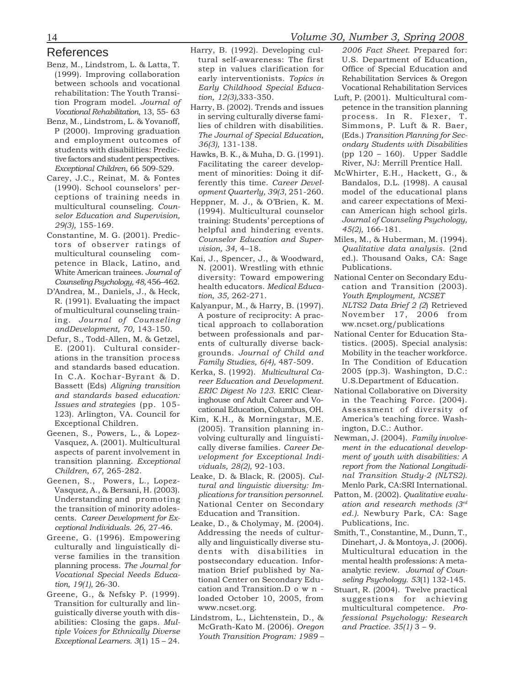- 
- 
- 
- 
- 
- Constantine, M. G. (2001). Predic-<br>
Consischer Education and Super-Milles, M., & Huberman, M. (1994), multicultural counsing comparing of vision, 36, 4–18.<br>
multicultural comparing comparing the state of the state of the
- 
- 
- 
- 
- References Harry, B. (1992). Developing cul- *2006 Fact Sheet.* Prepared for:
	-
	-
	-
	-
	-
	-
	-
	-
- the transition of minority adoles-<br>
cents. Career Development for Development of minority and research necessary election and Transition.<br>
egitional Individuals 26, 27-46.<br>
Center D., & Cholymay, M. (2004). Publications,
	-

- Benz, M., Lindstrom, L. & Latta, T. tural self-awareness: The first U.S. Department of Education,<br>
(1999). Improving collaboration aretp in values clarification form office of Special Education are<br>
three of Special Educa
	-
	-
	-
	-
	-
	-
	-
	-
	-